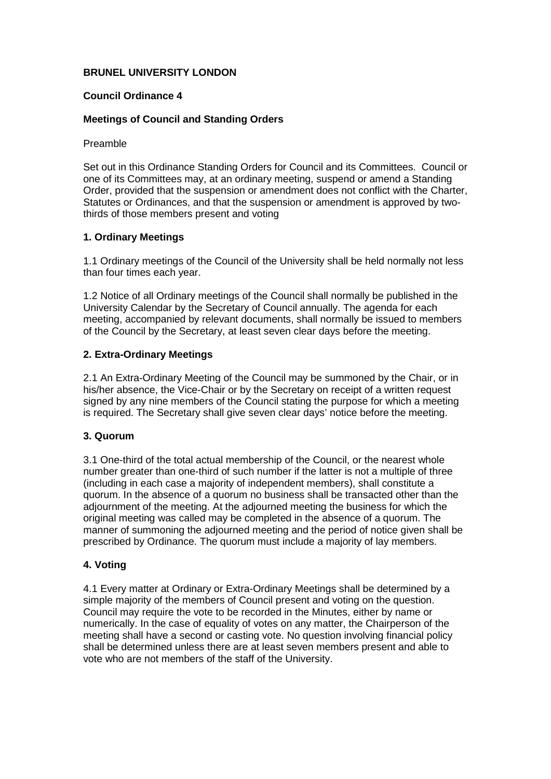# **BRUNEL UNIVERSITY LONDON**

## **Council Ordinance 4**

## **Meetings of Council and Standing Orders**

#### Preamble

Set out in this Ordinance Standing Orders for Council and its Committees. Council or one of its Committees may, at an ordinary meeting, suspend or amend a Standing Order, provided that the suspension or amendment does not conflict with the Charter, Statutes or Ordinances, and that the suspension or amendment is approved by twothirds of those members present and voting

## **1. Ordinary Meetings**

1.1 Ordinary meetings of the Council of the University shall be held normally not less than four times each year.

1.2 Notice of all Ordinary meetings of the Council shall normally be published in the University Calendar by the Secretary of Council annually. The agenda for each meeting, accompanied by relevant documents, shall normally be issued to members of the Council by the Secretary, at least seven clear days before the meeting.

## **2. Extra-Ordinary Meetings**

2.1 An Extra-Ordinary Meeting of the Council may be summoned by the Chair, or in his/her absence, the Vice-Chair or by the Secretary on receipt of a written request signed by any nine members of the Council stating the purpose for which a meeting is required. The Secretary shall give seven clear days' notice before the meeting.

## **3. Quorum**

3.1 One-third of the total actual membership of the Council, or the nearest whole number greater than one-third of such number if the latter is not a multiple of three (including in each case a majority of independent members), shall constitute a quorum. In the absence of a quorum no business shall be transacted other than the adjournment of the meeting. At the adjourned meeting the business for which the original meeting was called may be completed in the absence of a quorum. The manner of summoning the adjourned meeting and the period of notice given shall be prescribed by Ordinance. The quorum must include a majority of lay members.

# **4. Voting**

4.1 Every matter at Ordinary or Extra-Ordinary Meetings shall be determined by a simple majority of the members of Council present and voting on the question. Council may require the vote to be recorded in the Minutes, either by name or numerically. In the case of equality of votes on any matter, the Chairperson of the meeting shall have a second or casting vote. No question involving financial policy shall be determined unless there are at least seven members present and able to vote who are not members of the staff of the University.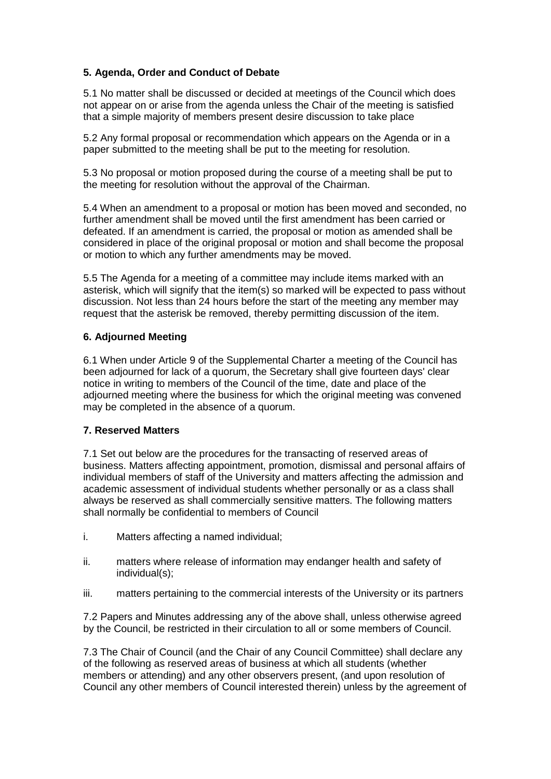# **5. Agenda, Order and Conduct of Debate**

5.1 No matter shall be discussed or decided at meetings of the Council which does not appear on or arise from the agenda unless the Chair of the meeting is satisfied that a simple majority of members present desire discussion to take place

5.2 Any formal proposal or recommendation which appears on the Agenda or in a paper submitted to the meeting shall be put to the meeting for resolution.

5.3 No proposal or motion proposed during the course of a meeting shall be put to the meeting for resolution without the approval of the Chairman.

5.4 When an amendment to a proposal or motion has been moved and seconded, no further amendment shall be moved until the first amendment has been carried or defeated. If an amendment is carried, the proposal or motion as amended shall be considered in place of the original proposal or motion and shall become the proposal or motion to which any further amendments may be moved.

5.5 The Agenda for a meeting of a committee may include items marked with an asterisk, which will signify that the item(s) so marked will be expected to pass without discussion. Not less than 24 hours before the start of the meeting any member may request that the asterisk be removed, thereby permitting discussion of the item.

### **6. Adjourned Meeting**

6.1 When under Article 9 of the Supplemental Charter a meeting of the Council has been adjourned for lack of a quorum, the Secretary shall give fourteen days' clear notice in writing to members of the Council of the time, date and place of the adjourned meeting where the business for which the original meeting was convened may be completed in the absence of a quorum.

### **7. Reserved Matters**

7.1 Set out below are the procedures for the transacting of reserved areas of business. Matters affecting appointment, promotion, dismissal and personal affairs of individual members of staff of the University and matters affecting the admission and academic assessment of individual students whether personally or as a class shall always be reserved as shall commercially sensitive matters. The following matters shall normally be confidential to members of Council

- i. Matters affecting a named individual;
- ii. matters where release of information may endanger health and safety of individual(s);
- iii. matters pertaining to the commercial interests of the University or its partners

7.2 Papers and Minutes addressing any of the above shall, unless otherwise agreed by the Council, be restricted in their circulation to all or some members of Council.

7.3 The Chair of Council (and the Chair of any Council Committee) shall declare any of the following as reserved areas of business at which all students (whether members or attending) and any other observers present, (and upon resolution of Council any other members of Council interested therein) unless by the agreement of